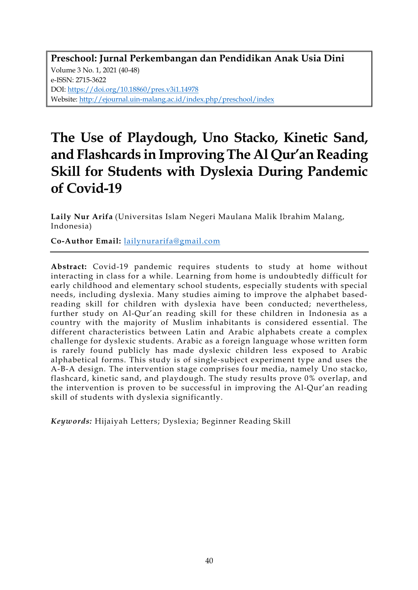**Preschool: Jurnal Perkembangan dan Pendidikan Anak Usia Dini** Volume 3 No. 1, 2021 (40-48) e-ISSN: 2715-3622 DOI: https://doi.org/10.18860/pres.v3i1.14978 Website: http://ejournal.uin-malang.ac.id/index.php/preschool/index

# **The Use of Playdough, Uno Stacko, Kinetic Sand, and Flashcards in Improving The Al Qur'an Reading Skill for Students with Dyslexia During Pandemic of Covid-19**

**Laily Nur Arifa** (Universitas Islam Negeri Maulana Malik Ibrahim Malang, Indonesia)

**Co-Author Email:** lailynurarifa@gmail.com

**Abstract:** Covid-19 pandemic requires students to study at home without interacting in class for a while. Learning from home is undoubtedly difficult for early childhood and elementary school students, especially students with special needs, including dyslexia. Many studies aiming to improve the alphabet basedreading skill for children with dyslexia have been conducted; nevertheless, further study on Al-Qur'an reading skill for these children in Indonesia as a country with the majority of Muslim inhabitants is considered essential. The different characteristics between Latin and Arabic alphabets create a complex challenge for dyslexic students. Arabic as a foreign language whose written form is rarely found publicly has made dyslexic children less exposed to Arabic alphabetical forms. This study is of single-subject experiment type and uses the A-B-A design. The intervention stage comprises four media, namely Uno stacko, flashcard, kinetic sand, and playdough. The study results prove 0% overlap, and the intervention is proven to be successful in improving the Al-Qur'an reading skill of students with dyslexia significantly.

*Keywords:* Hijaiyah Letters; Dyslexia; Beginner Reading Skill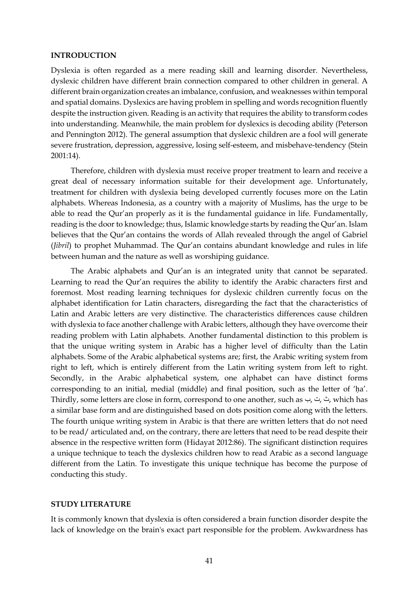#### **INTRODUCTION**

Dyslexia is often regarded as a mere reading skill and learning disorder. Nevertheless, dyslexic children have different brain connection compared to other children in general. A different brain organization creates an imbalance, confusion, and weaknesses within temporal and spatial domains. Dyslexics are having problem in spelling and words recognition fluently despite the instruction given. Reading is an activity that requires the ability to transform codes into understanding. Meanwhile, the main problem for dyslexics is decoding ability (Peterson and Pennington 2012). The general assumption that dyslexic children are a fool will generate severe frustration, depression, aggressive, losing self-esteem, and misbehave-tendency (Stein 2001:14).

Therefore, children with dyslexia must receive proper treatment to learn and receive a great deal of necessary information suitable for their development age. Unfortunately, treatment for children with dyslexia being developed currently focuses more on the Latin alphabets. Whereas Indonesia, as a country with a majority of Muslims, has the urge to be able to read the Qur'an properly as it is the fundamental guidance in life. Fundamentally, reading is the door to knowledge; thus, Islamic knowledge starts by reading the Qur'an. Islam believes that the Qur'an contains the words of Allah revealed through the angel of Gabriel (*Jibril*) to prophet Muhammad. The Qur'an contains abundant knowledge and rules in life between human and the nature as well as worshiping guidance.

The Arabic alphabets and Qur'an is an integrated unity that cannot be separated. Learning to read the Qur'an requires the ability to identify the Arabic characters first and foremost. Most reading learning techniques for dyslexic children currently focus on the alphabet identification for Latin characters, disregarding the fact that the characteristics of Latin and Arabic letters are very distinctive. The characteristics differences cause children with dyslexia to face another challenge with Arabic letters, although they have overcome their reading problem with Latin alphabets. Another fundamental distinction to this problem is that the unique writing system in Arabic has a higher level of difficulty than the Latin alphabets. Some of the Arabic alphabetical systems are; first, the Arabic writing system from right to left, which is entirely different from the Latin writing system from left to right. Secondly, in the Arabic alphabetical system, one alphabet can have distinct forms corresponding to an initial, medial (middle) and final position, such as the letter of 'ḥa'. Thirdly, some letters are close in form, correspond to one another, such as ب, ت, ث, which has a similar base form and are distinguished based on dots position come along with the letters. The fourth unique writing system in Arabic is that there are written letters that do not need to be read/ articulated and, on the contrary, there are letters that need to be read despite their absence in the respective written form (Hidayat 2012:86). The significant distinction requires a unique technique to teach the dyslexics children how to read Arabic as a second language different from the Latin. To investigate this unique technique has become the purpose of conducting this study.

### **STUDY LITERATURE**

It is commonly known that dyslexia is often considered a brain function disorder despite the lack of knowledge on the brain's exact part responsible for the problem. Awkwardness has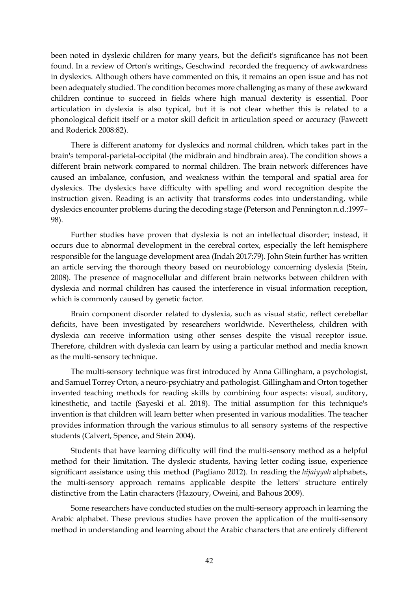been noted in dyslexic children for many years, but the deficit's significance has not been found. In a review of Orton's writings, Geschwind recorded the frequency of awkwardness in dyslexics. Although others have commented on this, it remains an open issue and has not been adequately studied. The condition becomes more challenging as many of these awkward children continue to succeed in fields where high manual dexterity is essential. Poor articulation in dyslexia is also typical, but it is not clear whether this is related to a phonological deficit itself or a motor skill deficit in articulation speed or accuracy (Fawcett and Roderick 2008:82).

There is different anatomy for dyslexics and normal children, which takes part in the brain's temporal-parietal-occipital (the midbrain and hindbrain area). The condition shows a different brain network compared to normal children. The brain network differences have caused an imbalance, confusion, and weakness within the temporal and spatial area for dyslexics. The dyslexics have difficulty with spelling and word recognition despite the instruction given. Reading is an activity that transforms codes into understanding, while dyslexics encounter problems during the decoding stage (Peterson and Pennington n.d.:1997– 98).

Further studies have proven that dyslexia is not an intellectual disorder; instead, it occurs due to abnormal development in the cerebral cortex, especially the left hemisphere responsible for the language development area (Indah 2017:79). John Stein further has written an article serving the thorough theory based on neurobiology concerning dyslexia (Stein, 2008). The presence of magnocellular and different brain networks between children with dyslexia and normal children has caused the interference in visual information reception, which is commonly caused by genetic factor.

Brain component disorder related to dyslexia, such as visual static, reflect cerebellar deficits, have been investigated by researchers worldwide. Nevertheless, children with dyslexia can receive information using other senses despite the visual receptor issue. Therefore, children with dyslexia can learn by using a particular method and media known as the multi-sensory technique.

The multi-sensory technique was first introduced by Anna Gillingham, a psychologist, and Samuel Torrey Orton, a neuro-psychiatry and pathologist. Gillingham and Orton together invented teaching methods for reading skills by combining four aspects: visual, auditory, kinesthetic, and tactile (Sayeski et al. 2018). The initial assumption for this technique's invention is that children will learn better when presented in various modalities. The teacher provides information through the various stimulus to all sensory systems of the respective students (Calvert, Spence, and Stein 2004).

Students that have learning difficulty will find the multi-sensory method as a helpful method for their limitation. The dyslexic students, having letter coding issue, experience significant assistance using this method (Pagliano 2012). In reading the *hijaiyyah* alphabets, the multi-sensory approach remains applicable despite the letters' structure entirely distinctive from the Latin characters (Hazoury, Oweini, and Bahous 2009).

Some researchers have conducted studies on the multi-sensory approach in learning the Arabic alphabet. These previous studies have proven the application of the multi-sensory method in understanding and learning about the Arabic characters that are entirely different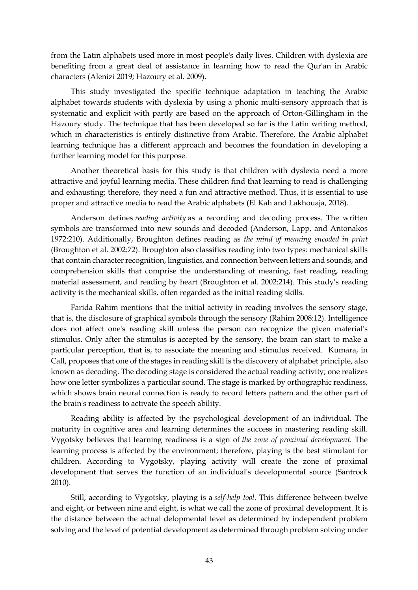from the Latin alphabets used more in most people's daily lives. Children with dyslexia are benefiting from a great deal of assistance in learning how to read the Qur'an in Arabic characters (Alenizi 2019; Hazoury et al. 2009).

This study investigated the specific technique adaptation in teaching the Arabic alphabet towards students with dyslexia by using a phonic multi-sensory approach that is systematic and explicit with partly are based on the approach of Orton-Gillingham in the Hazoury study. The technique that has been developed so far is the Latin writing method, which in characteristics is entirely distinctive from Arabic. Therefore, the Arabic alphabet learning technique has a different approach and becomes the foundation in developing a further learning model for this purpose.

Another theoretical basis for this study is that children with dyslexia need a more attractive and joyful learning media. These children find that learning to read is challenging and exhausting; therefore, they need a fun and attractive method. Thus, it is essential to use proper and attractive media to read the Arabic alphabets (El Kah and Lakhouaja, 2018).

Anderson defines *reading activity* as a recording and decoding process. The written symbols are transformed into new sounds and decoded (Anderson, Lapp, and Antonakos 1972:210). Additionally, Broughton defines reading as *the mind of meaning encoded in print* (Broughton et al. 2002:72). Broughton also classifies reading into two types: mechanical skills that contain character recognition, linguistics, and connection between letters and sounds, and comprehension skills that comprise the understanding of meaning, fast reading, reading material assessment, and reading by heart (Broughton et al. 2002:214). This study's reading activity is the mechanical skills, often regarded as the initial reading skills.

Farida Rahim mentions that the initial activity in reading involves the sensory stage, that is, the disclosure of graphical symbols through the sensory (Rahim 2008:12). Intelligence does not affect one's reading skill unless the person can recognize the given material's stimulus. Only after the stimulus is accepted by the sensory, the brain can start to make a particular perception, that is, to associate the meaning and stimulus received. Kumara, in Call, proposes that one of the stages in reading skill is the discovery of alphabet principle, also known as decoding. The decoding stage is considered the actual reading activity; one realizes how one letter symbolizes a particular sound. The stage is marked by orthographic readiness, which shows brain neural connection is ready to record letters pattern and the other part of the brain's readiness to activate the speech ability.

Reading ability is affected by the psychological development of an individual. The maturity in cognitive area and learning determines the success in mastering reading skill. Vygotsky believes that learning readiness is a sign of *the zone of proximal development.* The learning process is affected by the environment; therefore, playing is the best stimulant for children. According to Vygotsky, playing activity will create the zone of proximal development that serves the function of an individual's developmental source (Santrock 2010).

Still, according to Vygotsky, playing is a *self-help tool.* This difference between twelve and eight, or between nine and eight, is what we call the zone of proximal development. It is the distance between the actual delopmental level as determined by independent problem solving and the level of potential development as determined through problem solving under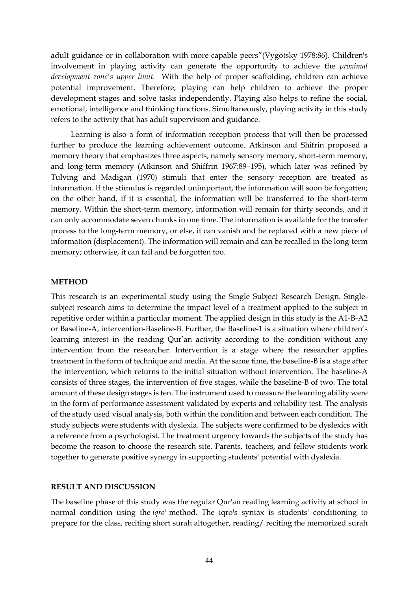adult guidance or in collaboration with more capable peers"(Vygotsky 1978:86). Children's involvement in playing activity can generate the opportunity to achieve the *proximal development zone's upper limit.* With the help of proper scaffolding, children can achieve potential improvement. Therefore, playing can help children to achieve the proper development stages and solve tasks independently. Playing also helps to refine the social, emotional, intelligence and thinking functions. Simultaneously, playing activity in this study refers to the activity that has adult supervision and guidance.

Learning is also a form of information reception process that will then be processed further to produce the learning achievement outcome. Atkinson and Shifrin proposed a memory theory that emphasizes three aspects, namely sensory memory, short-term memory, and long-term memory (Atkinson and Shiffrin 1967:89–195), which later was refined by Tulving and Madigan (1970) stimuli that enter the sensory reception are treated as information. If the stimulus is regarded unimportant, the information will soon be forgotten; on the other hand, if it is essential, the information will be transferred to the short-term memory. Within the short-term memory, information will remain for thirty seconds, and it can only accommodate seven chunks in one time. The information is available for the transfer process to the long-term memory, or else, it can vanish and be replaced with a new piece of information (displacement). The information will remain and can be recalled in the long-term memory; otherwise, it can fail and be forgotten too.

### **METHOD**

This research is an experimental study using the Single Subject Research Design. Singlesubject research aims to determine the impact level of a treatment applied to the subject in repetitive order within a particular moment. The applied design in this study is the A1-B-A2 or Baseline-A, intervention-Baseline-B. Further, the Baseline-1 is a situation where children's learning interest in the reading Qur'an activity according to the condition without any intervention from the researcher. Intervention is a stage where the researcher applies treatment in the form of technique and media. At the same time, the baseline-B is a stage after the intervention, which returns to the initial situation without intervention. The baseline-A consists of three stages, the intervention of five stages, while the baseline-B of two. The total amount of these design stages is ten. The instrument used to measure the learning ability were in the form of performance assessment validated by experts and reliability test. The analysis of the study used visual analysis, both within the condition and between each condition. The study subjects were students with dyslexia. The subjects were confirmed to be dyslexics with a reference from a psychologist. The treatment urgency towards the subjects of the study has become the reason to choose the research site. Parents, teachers, and fellow students work together to generate positive synergy in supporting students' potential with dyslexia.

#### **RESULT AND DISCUSSION**

The baseline phase of this study was the regular Qur'an reading learning activity at school in normal condition using the *iqro'* method. The iqro's syntax is students' conditioning to prepare for the class, reciting short surah altogether, reading/ reciting the memorized surah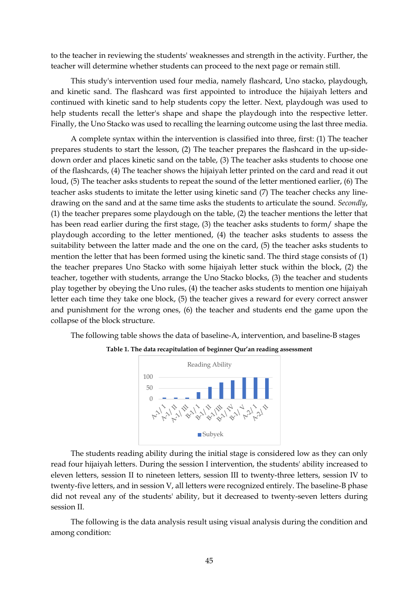to the teacher in reviewing the students' weaknesses and strength in the activity. Further, the teacher will determine whether students can proceed to the next page or remain still.

This study's intervention used four media, namely flashcard, Uno stacko, playdough, and kinetic sand. The flashcard was first appointed to introduce the hijaiyah letters and continued with kinetic sand to help students copy the letter. Next, playdough was used to help students recall the letter's shape and shape the playdough into the respective letter. Finally, the Uno Stacko was used to recalling the learning outcome using the last three media.

A complete syntax within the intervention is classified into three, first: (1) The teacher prepares students to start the lesson, (2) The teacher prepares the flashcard in the up-sidedown order and places kinetic sand on the table, (3) The teacher asks students to choose one of the flashcards, (4) The teacher shows the hijaiyah letter printed on the card and read it out loud, (5) The teacher asks students to repeat the sound of the letter mentioned earlier, (6) The teacher asks students to imitate the letter using kinetic sand (7) The teacher checks any linedrawing on the sand and at the same time asks the students to articulate the sound*. Secondly*, (1) the teacher prepares some playdough on the table, (2) the teacher mentions the letter that has been read earlier during the first stage, (3) the teacher asks students to form/ shape the playdough according to the letter mentioned, (4) the teacher asks students to assess the suitability between the latter made and the one on the card, (5) the teacher asks students to mention the letter that has been formed using the kinetic sand. The third stage consists of (1) the teacher prepares Uno Stacko with some hijaiyah letter stuck within the block, (2) the teacher, together with students, arrange the Uno Stacko blocks, (3) the teacher and students play together by obeying the Uno rules, (4) the teacher asks students to mention one hijaiyah letter each time they take one block, (5) the teacher gives a reward for every correct answer and punishment for the wrong ones, (6) the teacher and students end the game upon the collapse of the block structure.

The following table shows the data of baseline-A, intervention, and baseline-B stages





The students reading ability during the initial stage is considered low as they can only read four hijaiyah letters. During the session I intervention, the students' ability increased to eleven letters, session II to nineteen letters, session III to twenty-three letters, session IV to twenty-five letters, and in session V, all letters were recognized entirely. The baseline-B phase did not reveal any of the students' ability, but it decreased to twenty-seven letters during session II.

The following is the data analysis result using visual analysis during the condition and among condition: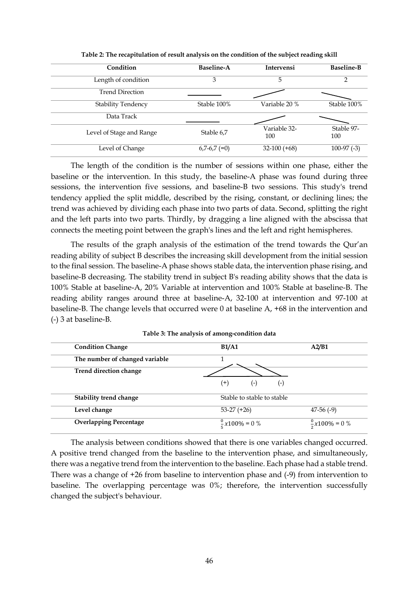| Condition                 | <b>Baseline-A</b> | <b>Intervensi</b>   | <b>Baseline-B</b> |
|---------------------------|-------------------|---------------------|-------------------|
| Length of condition       | 3                 | 5                   | $\mathcal{P}$     |
| <b>Trend Direction</b>    |                   |                     |                   |
| <b>Stability Tendency</b> | Stable 100%       | Variable 20 %       | Stable 100%       |
| Data Track                |                   |                     |                   |
| Level of Stage and Range  | Stable 6,7        | Variable 32-<br>100 | Stable 97-<br>100 |
| Level of Change           | $6,7-6,7 (=0)$    | $32-100 (+68)$      | $100-97$ (-3)     |

**Table 2: The recapitulation of result analysis on the condition of the subject reading skill**

The length of the condition is the number of sessions within one phase, either the baseline or the intervention. In this study, the baseline-A phase was found during three sessions, the intervention five sessions, and baseline-B two sessions. This study's trend tendency applied the split middle, described by the rising, constant, or declining lines; the trend was achieved by dividing each phase into two parts of data. Second, splitting the right and the left parts into two parts. Thirdly, by dragging a line aligned with the abscissa that connects the meeting point between the graph's lines and the left and right hemispheres.

The results of the graph analysis of the estimation of the trend towards the Qur'an reading ability of subject B describes the increasing skill development from the initial session to the final session. The baseline-A phase shows stable data, the intervention phase rising, and baseline-B decreasing. The stability trend in subject B's reading ability shows that the data is 100% Stable at baseline-A, 20% Variable at intervention and 100% Stable at baseline-B. The reading ability ranges around three at baseline-A, 32-100 at intervention and 97-100 at baseline-B. The change levels that occurred were 0 at baseline A, +68 in the intervention and (-) 3 at baseline-B.

| <b>Condition Change</b>        | <b>B1/A1</b>               | A2/B1                      |
|--------------------------------|----------------------------|----------------------------|
| The number of changed variable |                            |                            |
| Trend direction change         |                            |                            |
|                                | $^{(+)}$<br>$(-)$<br>( – ) |                            |
| Stability trend change         | Stable to stable to stable |                            |
| Level change                   | $53-27 (+26)$              | $47-56$ (-9)               |
| <b>Overlapping Percentage</b>  | $\frac{0}{7}x100\% = 0$ %  | $\frac{0}{2}x100\% = 0 \%$ |

**Table 3: The analysis of among-condition data**

The analysis between conditions showed that there is one variables changed occurred. A positive trend changed from the baseline to the intervention phase, and simultaneously, there was a negative trend from the intervention to the baseline. Each phase had a stable trend. There was a change of +26 from baseline to intervention phase and (-9) from intervention to baseline. The overlapping percentage was 0%; therefore, the intervention successfully changed the subject's behaviour.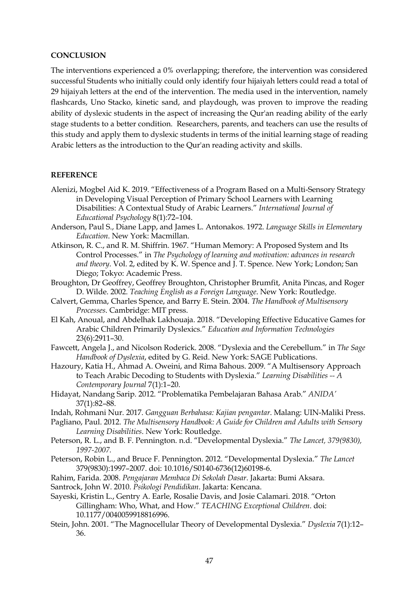## **CONCLUSION**

The interventions experienced a 0% overlapping; therefore, the intervention was considered successful Students who initially could only identify four hijaiyah letters could read a total of 29 hijaiyah letters at the end of the intervention. The media used in the intervention, namely flashcards, Uno Stacko, kinetic sand, and playdough, was proven to improve the reading ability of dyslexic students in the aspect of increasing the Qur'an reading ability of the early stage students to a better condition. Researchers, parents, and teachers can use the results of this study and apply them to dyslexic students in terms of the initial learning stage of reading Arabic letters as the introduction to the Qur'an reading activity and skills.

## **REFERENCE**

- Alenizi, Mogbel Aid K. 2019. "Effectiveness of a Program Based on a Multi-Sensory Strategy in Developing Visual Perception of Primary School Learners with Learning Disabilities: A Contextual Study of Arabic Learners." *International Journal of Educational Psychology* 8(1):72–104.
- Anderson, Paul S., Diane Lapp, and James L. Antonakos. 1972. *Language Skills in Elementary Education*. New York: Macmillan.
- Atkinson, R. C., and R. M. Shiffrin. 1967. "Human Memory: A Proposed System and Its Control Processes." in *The Psychology of learning and motivation: advances in research and theory*. Vol. 2, edited by K. W. Spence and J. T. Spence. New York; London; San Diego; Tokyo: Academic Press.
- Broughton, Dr Geoffrey, Geoffrey Broughton, Christopher Brumfit, Anita Pincas, and Roger D. Wilde. 2002. *Teaching English as a Foreign Language*. New York: Routledge.
- Calvert, Gemma, Charles Spence, and Barry E. Stein. 2004. *The Handbook of Multisensory Processes*. Cambridge: MIT press.
- El Kah, Anoual, and Abdelhak Lakhouaja. 2018. "Developing Effective Educative Games for Arabic Children Primarily Dyslexics." *Education and Information Technologies* 23(6):2911–30.
- Fawcett, Angela J., and Nicolson Roderick. 2008. "Dyslexia and the Cerebellum." in *The Sage Handbook of Dyslexia*, edited by G. Reid. New York: SAGE Publications.
- Hazoury, Katia H., Ahmad A. Oweini, and Rima Bahous. 2009. "A Multisensory Approach to Teach Arabic Decoding to Students with Dyslexia." *Learning Disabilities -- A Contemporary Journal* 7(1):1–20.
- Hidayat, Nandang Sarip. 2012. "Problematika Pembelajaran Bahasa Arab." *ANIDA'* 37(1):82–88.
- Indah, Rohmani Nur. 2017. *Gangguan Berbahasa: Kajian pengantar*. Malang: UIN-Maliki Press.
- Pagliano, Paul. 2012. *The Multisensory Handbook: A Guide for Children and Adults with Sensory Learning Disabilities*. New York: Routledge.
- Peterson, R. L., and B. F. Pennington. n.d. "Developmental Dyslexia." *The Lancet, 379(9830), 1997-2007.*
- Peterson, Robin L., and Bruce F. Pennington. 2012. "Developmental Dyslexia." *The Lancet* 379(9830):1997–2007. doi: 10.1016/S0140-6736(12)60198-6.
- Rahim, Farida. 2008. *Pengajaran Membaca Di Sekolah Dasar*. Jakarta: Bumi Aksara.
- Santrock, John W. 2010. *Psikologi Pendidikan*. Jakarta: Kencana.
- Sayeski, Kristin L., Gentry A. Earle, Rosalie Davis, and Josie Calamari. 2018. "Orton Gillingham: Who, What, and How." *TEACHING Exceptional Children*. doi: 10.1177/0040059918816996.
- Stein, John. 2001. "The Magnocellular Theory of Developmental Dyslexia." *Dyslexia* 7(1):12– 36.